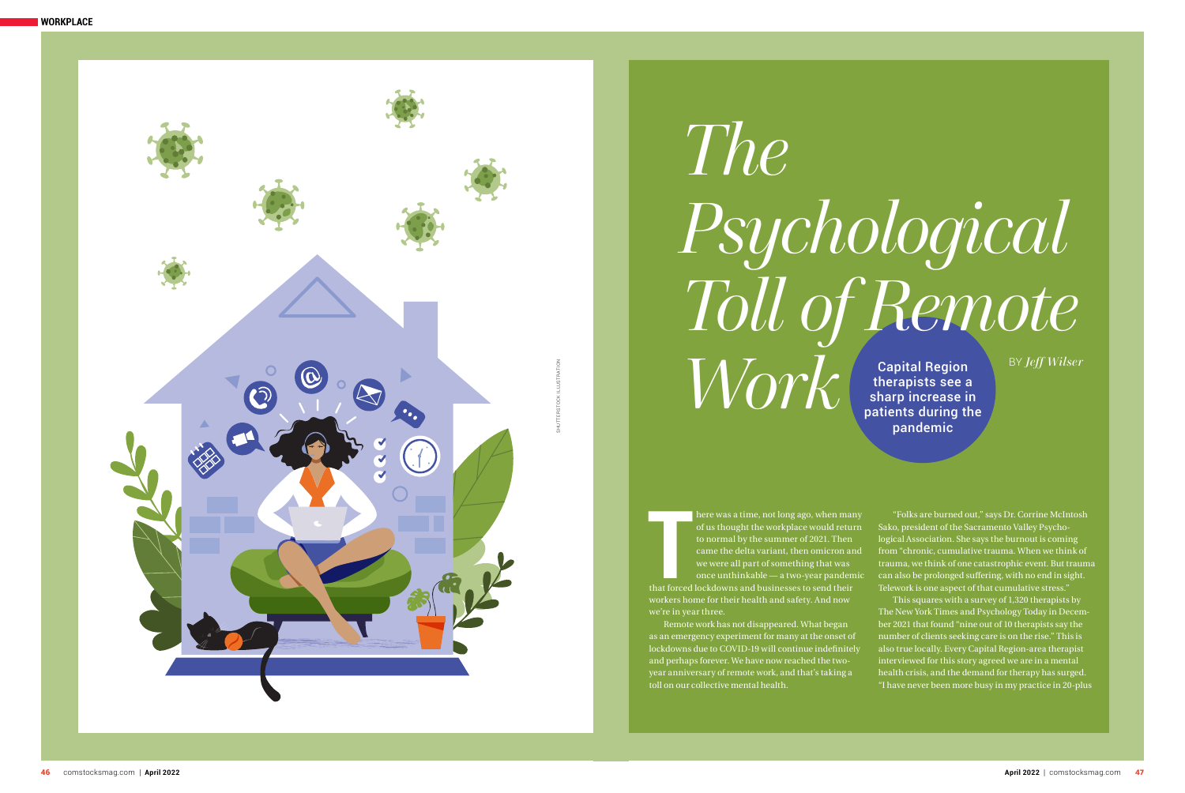



# *The Psychological Toll of Remote*   $Work($

Capital Region therapists see a sharp increase in patients during the pandemic

BY *Jeff Wilser*

**T**<br>that forced here was a time, not long ago, when many of us thought the workplace would return to normal by the summer of 2021. Then came the delta variant, then omicron and we were all part of something that was once unthinkable — a two-year pandemic that forced lockdowns and businesses to send their workers home for their health and safety. And now

we're in year three. Remote work has not disappeared. What began as an emergency experiment for many at the onset of lockdowns due to COVID-19 will continue indefinitely and perhaps forever. We have now reached the twoyear anniversary of remote work, and that's taking a toll on our collective mental health.

"Folks are burned out," says Dr. Corrine McIntosh Sako, president of the Sacramento Valley Psycho logical Association. She says the burnout is coming from "chronic, cumulative trauma. When we think of trauma, we think of one catastrophic event. But trauma can also be prolonged suffering, with no end in sight. Telework is one aspect of that cumulative stress." This squares with a survey of 1,320 therapists by The New York Times and Psychology Today in Decem ber 2021 that found "nine out of 10 therapists say the number of clients seeking care is on the rise." This is also true locally. Every Capital Region-area therapist interviewed for this story agreed we are in a mental health crisis, and the demand for therapy has surged. "I have never been more busy in my practice in 20-plus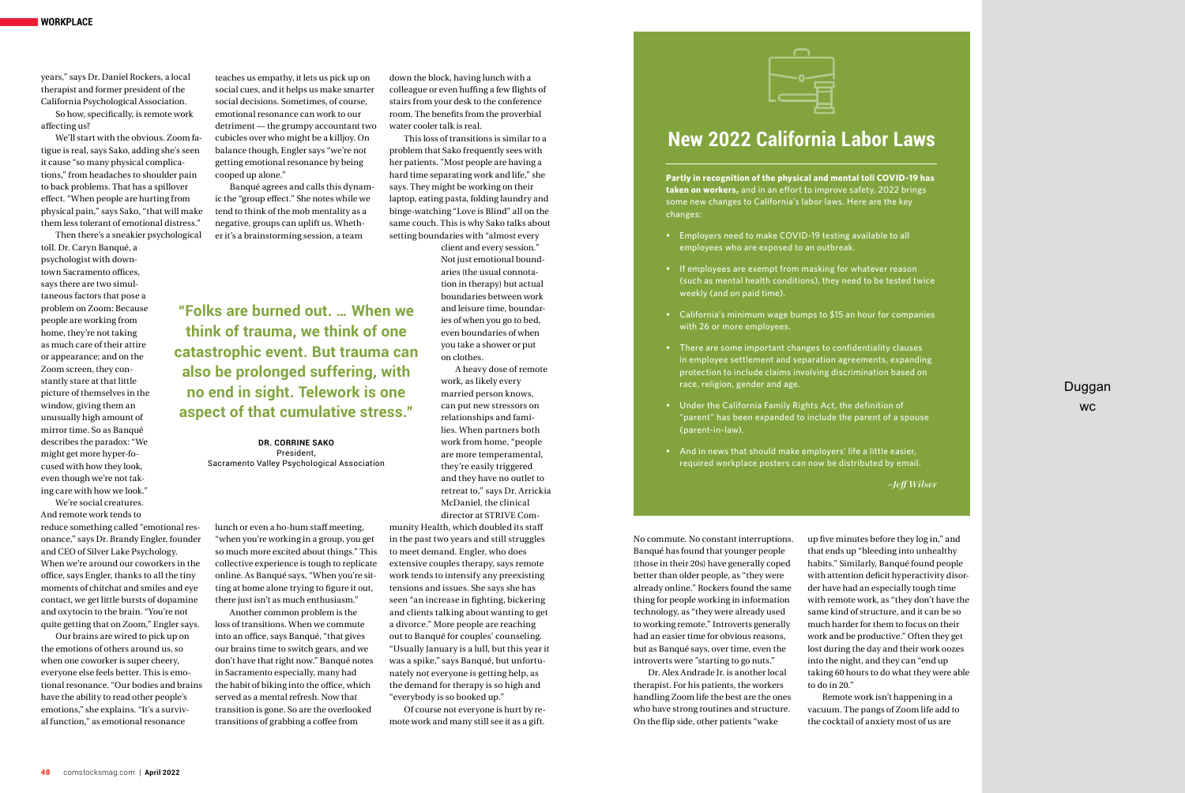years," says Dr. Daniel Rockers, a local therapist and former president of the California Psychological Association.

So how, specifically, is remote work affecting us?

We'll start with the obvious. Zoom fatigue is real, says Sako, adding she's seen it cause "so many physical complications," from headaches to shoulder pain to back problems. That has a spillover effect. "When people are hurting from physical pain," says Sako, "that will make them less tolerant of emotional distress."

Then there's a sneakier psychological toll. Dr. Caryn Banqué, a psychologist with downtown Sacramento offices, says there are two simultaneous factors that pose a problem on Zoom: Because people are working from home, they're not taking as much care of their attire or appearance; and on the Zoom screen, they constantly stare at that little picture of themselves in the window, giving them an unusually high amount of mirror time. So as Banqué describes the paradox: "We might get more hyper-focused with how they look, even though we're not taking care with how we look."

We're social creatures. And remote work tends to

reduce something called "emotional resonance," says Dr. Brandy Engler, founder and CEO of Silver Lake Psychology. When we're around our coworkers in the office, says Engler, thanks to all the tiny moments of chitchat and smiles and eye contact, we get little bursts of dopamine and oxytocin to the brain. "You're not quite getting that on Zoom," Engler says.

Our brains are wired to pick up on the emotions of others around us, so when one coworker is super cheery, everyone else feels better. This is emotional resonance. "Our bodies and brains have the ability to read other people's emotions," she explains. "It's a survival function," as emotional resonance

teaches us empathy, it lets us pick up on social cues, and it helps us make smarter social decisions. Sometimes, of course, emotional resonance can work to our detriment — the grumpy accountant two cubicles over who might be a killjoy. On balance though, Engler says "we're not getting emotional resonance by being cooped up alone."

Banqué agrees and calls this dynamic the "group effect." She notes while we tend to think of the mob mentality as a negative, groups can uplift us. Whether it's a brainstorming session, a team

lunch or even a ho-hum staff meeting, "when you're working in a group, you get so much more excited about things." This collective experience is tough to replicate online. As Banqué says, "When you're sitting at home alone trying to figure it out, there just isn't as much enthusiasm." Another common problem is the loss of transitions. When we commute into an office, says Banqué, "that gives our brains time to switch gears, and we don't have that right now." Banqué notes in Sacramento especially, many had the habit of biking into the office, which served as a mental refresh. Now that transition is gone. So are the overlooked transitions of grabbing a coffee from

## Duggan **WC**

down the block, having lunch with a colleague or even huffing a few flights of stairs from your desk to the conference room. The benefits from the proverbial water cooler talk is real.

This loss of transitions is similar to a problem that Sako frequently sees with her patients. "Most people are having a hard time separating work and life," she says. They might be working on their laptop, eating pasta, folding laundry and binge-watching "Love is Blind" all on the same couch. This is why Sako talks about setting boundaries with "almost every

> client and every session." Not just emotional boundaries (the usual connotation in therapy) but actual boundaries between work and leisure time, boundaries of when you go to bed, even boundaries of when you take a shower or put on clothes.

A heavy dose of remote work, as likely every married person knows, can put new stressors on relationships and families. When partners both work from home, "people are more temperamental, they're easily triggered and they have no outlet to retreat to," says Dr. Arrickia McDaniel, the clinical director at STRIVE Com-

munity Health, which doubled its staff in the past two years and still struggles to meet demand. Engler, who does extensive couples therapy, says remote work tends to intensify any preexisting tensions and issues. She says she has seen "an increase in fighting, bickering and clients talking about wanting to get a divorce." More people are reaching out to Banqué for couples' counseling. "Usually January is a lull, but this year it was a spike," says Banqué, but unfortunately not everyone is getting help, as the demand for therapy is so high and "everybody is so booked up."

Of course not everyone is hurt by remote work and many still see it as a gift.



**"Folks are burned out. … When we think of trauma, we think of one** 

**catastrophic event. But trauma can also be prolonged suffering, with no end in sight. Telework is one** 

**aspect of that cumulative stress."**

**DR. CORRINE SAKO** President, Sacramento Valley Psychological Association **Partly in recognition of the physical and mental toll COVID-19 has taken on workers,** and in an effort to improve safety, 2022 brings some new changes to California's labor laws. Here are the key changes:

- Employers need to make COVID-19 testing available to all employees who are exposed to an outbreak.
- If employees are exempt from masking for whatever reason (such as mental health conditions), they need to be tested twice weekly (and on paid time).
- California's minimum wage bumps to \$15 an hour for companies with 26 or more employees.
- There are some important changes to confidentiality clauses in employee settlement and separation agreements, expanding protection to include claims involving discrimination based on race, religion, gender and age.
- Under the California Family Rights Act, the definition of "parent" has been expanded to include the parent of a spouse (parent-in-law).
- And in news that should make employers' life a little easier, required workplace posters can now be distributed by email.

*–Jeff Wilser*

# **New 2022 California Labor Laws**

No commute. No constant interruptions. Banqué has found that younger people (those in their 20s) have generally coped better than older people, as "they were already online." Rockers found the same thing for people working in information technology, as "they were already used to working remote." Introverts generally had an easier time for obvious reasons, but as Banqué says, over time, even the introverts were "starting to go nuts."

Dr. Alex Andrade Jr. is another local therapist. For his patients, the workers handling Zoom life the best are the ones who have strong routines and structure. On the flip side, other patients "wake

up five minutes before they log in," and that ends up "bleeding into unhealthy habits." Similarly, Banqué found people with attention deficit hyperactivity disorder have had an especially tough time with remote work, as "they don't have the same kind of structure, and it can be so much harder for them to focus on their work and be productive." Often they get lost during the day and their work oozes into the night, and they can "end up taking 60 hours to do what they were able to do in 20."

Remote work isn't happening in a vacuum. The pangs of Zoom life add to the cocktail of anxiety most of us are